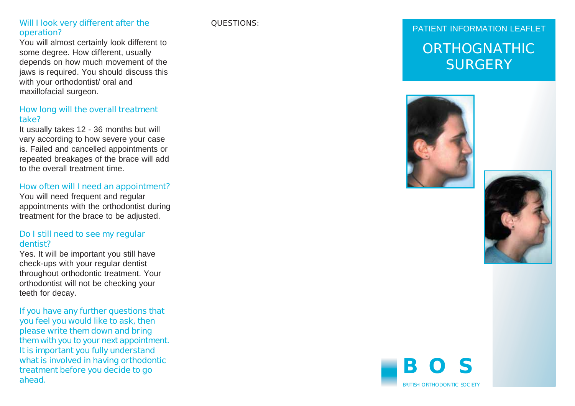# **PATIENT INFORMATION LEAFLET Will I look very different after the <b>QUESTIONS: Operation? PATIENT INFORMATION LEAFLET**

You will almost certainly look different to some degree. How different, usually depends on how much movement of the jaws is required. You should discuss this with your orthodontist/ oral and maxillofacial surgeon.

#### **How long will the overall treatment take?**

It usually takes 12 - 36 months but will vary according to how severe your case is. Failed and cancelled appointments or repeated breakages of the brace will add to the overall treatment time.

#### H**ow often will I need an appointment?**

You will need frequent and regular appointments with the orthodontist during treatment for the brace to be adjusted.

#### **Do I still need to see my regular dentist?**

Yes. It will be important you still have check-ups with your regular dentist throughout orthodontic treatment. Your orthodontist will not be checking your teeth for decay.

**If you have any further questions that you feel you would like to ask, then please write them down and bring them with you to your next appointment. It is important you fully understand what is involved in having orthodontic treatment before you decide to go ahead.**

## **ORTHOGNATHIC SURGERY**